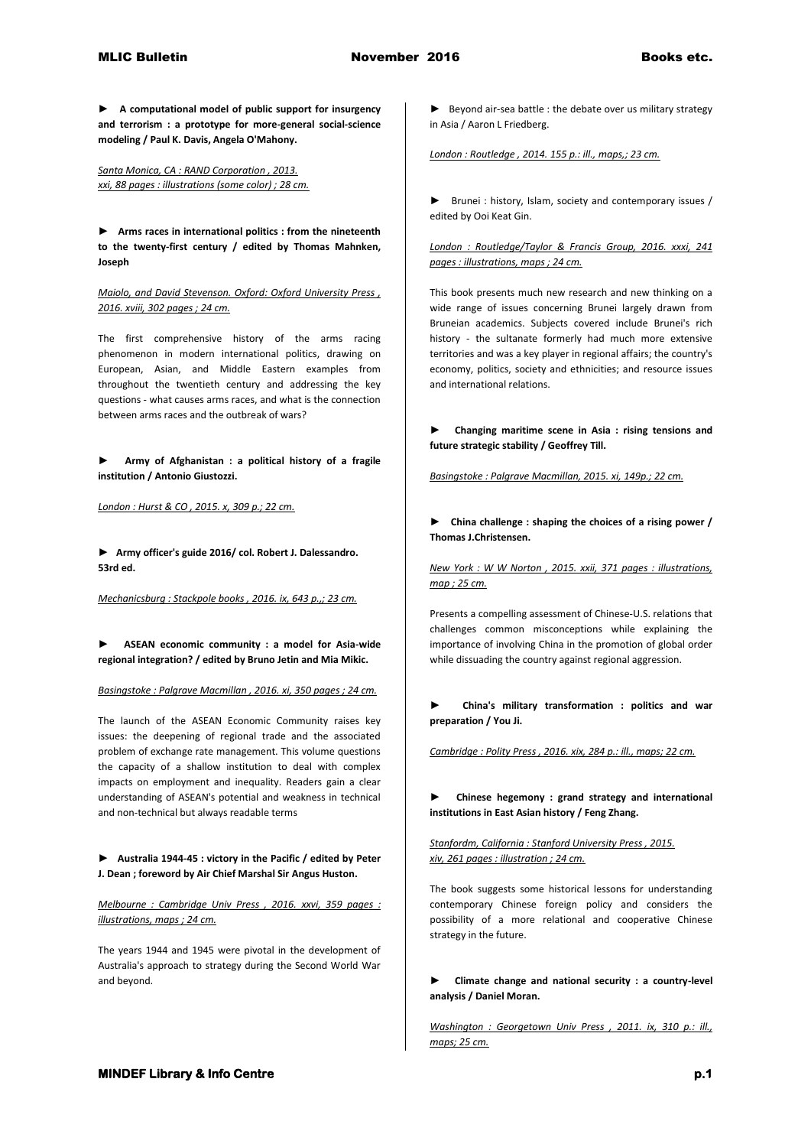**► A computational model of public support for insurgency and terrorism : a prototype for more-general social-science modeling / Paul K. Davis, Angela O'Mahony.**

*Santa Monica, CA : RAND Corporation , 2013. xxi, 88 pages : illustrations (some color) ; 28 cm.* 

**► Arms races in international politics : from the nineteenth to the twenty-first century / edited by Thomas Mahnken, Joseph** 

*Maiolo, and David Stevenson. Oxford: Oxford University Press , 2016. xviii, 302 pages ; 24 cm.*

The first comprehensive history of the arms racing phenomenon in modern international politics, drawing on European, Asian, and Middle Eastern examples from throughout the twentieth century and addressing the key questions - what causes arms races, and what is the connection between arms races and the outbreak of wars?

**► Army of Afghanistan : a political history of a fragile institution / Antonio Giustozzi.**

*London : Hurst & CO , 2015. x, 309 p.; 22 cm.* 

**► Army officer's guide 2016/ col. Robert J. Dalessandro. 53rd ed.**

*Mechanicsburg : Stackpole books , 2016. ix, 643 p.,; 23 cm.* 

**► ASEAN economic community : a model for Asia-wide regional integration? / edited by Bruno Jetin and Mia Mikic.**

*Basingstoke : Palgrave Macmillan , 2016. xi, 350 pages ; 24 cm.*

The launch of the ASEAN Economic Community raises key issues: the deepening of regional trade and the associated problem of exchange rate management. This volume questions the capacity of a shallow institution to deal with complex impacts on employment and inequality. Readers gain a clear understanding of ASEAN's potential and weakness in technical and non-technical but always readable terms

**► Australia 1944-45 : victory in the Pacific / edited by Peter J. Dean ; foreword by Air Chief Marshal Sir Angus Huston.**

*Melbourne : Cambridge Univ Press , 2016. xxvi, 359 pages : illustrations, maps ; 24 cm.*

The years 1944 and 1945 were pivotal in the development of Australia's approach to strategy during the Second World War and beyond.

► Beyond air-sea battle : the debate over us military strategy in Asia / Aaron L Friedberg.

*London : Routledge , 2014. 155 p.: ill., maps,; 23 cm.* 

► Brunei : history, Islam, society and contemporary issues / edited by Ooi Keat Gin.

*London : Routledge/Taylor & Francis Group, 2016. xxxi, 241 pages : illustrations, maps ; 24 cm.*

This book presents much new research and new thinking on a wide range of issues concerning Brunei largely drawn from Bruneian academics. Subjects covered include Brunei's rich history - the sultanate formerly had much more extensive territories and was a key player in regional affairs; the country's economy, politics, society and ethnicities; and resource issues and international relations.

**► Changing maritime scene in Asia : rising tensions and future strategic stability / Geoffrey Till.**

*Basingstoke : Palgrave Macmillan, 2015. xi, 149p.; 22 cm.* 

**► China challenge : shaping the choices of a rising power / Thomas J.Christensen.**

*New York : W W Norton , 2015. xxii, 371 pages : illustrations, map ; 25 cm.*

Presents a compelling assessment of Chinese-U.S. relations that challenges common misconceptions while explaining the importance of involving China in the promotion of global order while dissuading the country against regional aggression.

**► China's military transformation : politics and war preparation / You Ji.**

*Cambridge : Polity Press , 2016. xix, 284 p.: ill., maps; 22 cm.* 

**► Chinese hegemony : grand strategy and international institutions in East Asian history / Feng Zhang.**

*Stanfordm, California : Stanford University Press , 2015. xiv, 261 pages : illustration ; 24 cm.*

The book suggests some historical lessons for understanding contemporary Chinese foreign policy and considers the possibility of a more relational and cooperative Chinese strategy in the future.

**► Climate change and national security : a country-level analysis / Daniel Moran.**

*Washington : Georgetown Univ Press , 2011. ix, 310 p.: ill., maps; 25 cm.*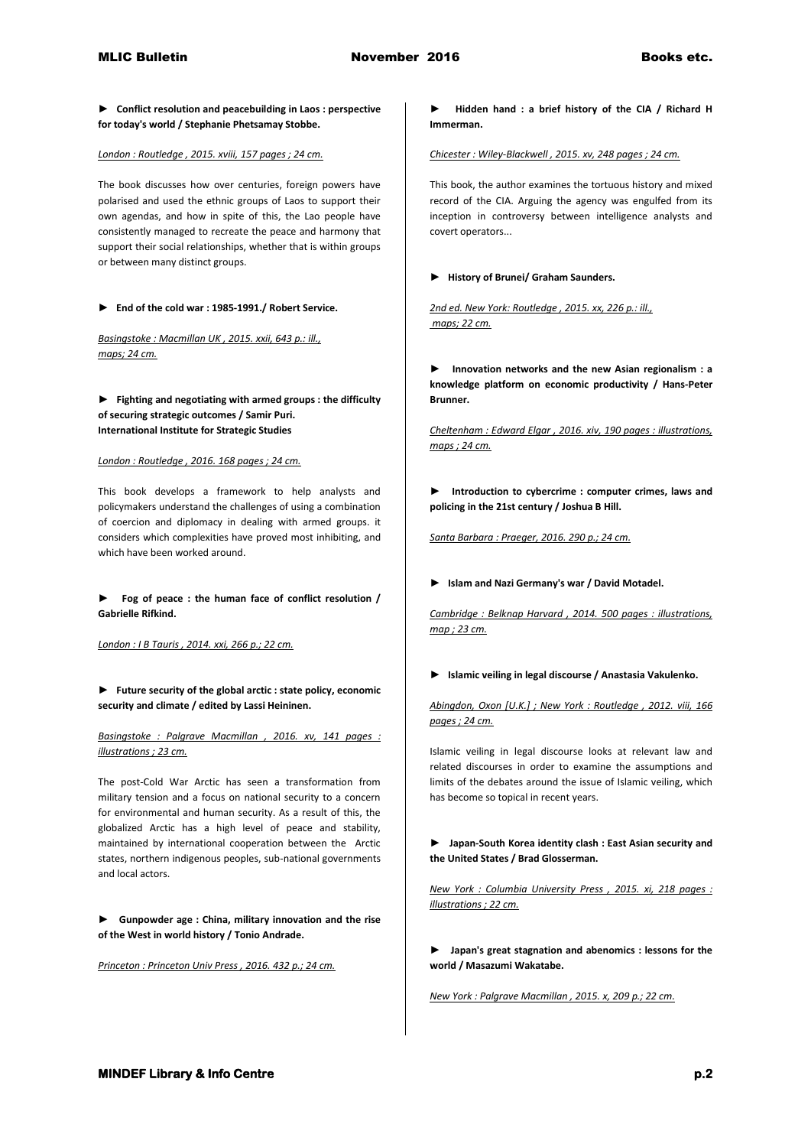**► Conflict resolution and peacebuilding in Laos : perspective for today's world / Stephanie Phetsamay Stobbe.**

*London : Routledge , 2015. xviii, 157 pages ; 24 cm.*

The book discusses how over centuries, foreign powers have polarised and used the ethnic groups of Laos to support their own agendas, and how in spite of this, the Lao people have consistently managed to recreate the peace and harmony that support their social relationships, whether that is within groups or between many distinct groups.

**► End of the cold war : 1985-1991./ Robert Service.**

*Basingstoke : Macmillan UK , 2015. xxii, 643 p.: ill., maps; 24 cm.* 

**► Fighting and negotiating with armed groups : the difficulty of securing strategic outcomes / Samir Puri. International Institute for Strategic Studies**

*London : Routledge , 2016. 168 pages ; 24 cm.*

This book develops a framework to help analysts and policymakers understand the challenges of using a combination of coercion and diplomacy in dealing with armed groups. it considers which complexities have proved most inhibiting, and which have been worked around.

**► Fog of peace : the human face of conflict resolution / Gabrielle Rifkind.**

*London : I B Tauris , 2014. xxi, 266 p.; 22 cm.* 

**► Future security of the global arctic : state policy, economic security and climate / edited by Lassi Heininen.**

*Basingstoke : Palgrave Macmillan , 2016. xv, 141 pages : illustrations ; 23 cm.*

The post-Cold War Arctic has seen a transformation from military tension and a focus on national security to a concern for environmental and human security. As a result of this, the globalized Arctic has a high level of peace and stability, maintained by international cooperation between the Arctic states, northern indigenous peoples, sub-national governments and local actors.

**► Gunpowder age : China, military innovation and the rise of the West in world history / Tonio Andrade.**

*Princeton : Princeton Univ Press , 2016. 432 p.; 24 cm.* 

**► Hidden hand : a brief history of the CIA / Richard H Immerman.**

*Chicester : Wiley-Blackwell , 2015. xv, 248 pages ; 24 cm.*

This book, the author examines the tortuous history and mixed record of the CIA. Arguing the agency was engulfed from its inception in controversy between intelligence analysts and covert operators...

## **► History of Brunei/ Graham Saunders.**

*2nd ed. New York: Routledge , 2015. xx, 226 p.: ill., maps; 22 cm.* 

**► Innovation networks and the new Asian regionalism : a knowledge platform on economic productivity / Hans-Peter Brunner.**

*Cheltenham : Edward Elgar , 2016. xiv, 190 pages : illustrations, maps ; 24 cm.* 

**► Introduction to cybercrime : computer crimes, laws and policing in the 21st century / Joshua B Hill.**

*Santa Barbara : Praeger, 2016. 290 p.; 24 cm.* 

**► Islam and Nazi Germany's war / David Motadel.**

*Cambridge : Belknap Harvard , 2014. 500 pages : illustrations, map ; 23 cm.* 

**► Islamic veiling in legal discourse / Anastasia Vakulenko.**

*Abingdon, Oxon [U.K.] ; New York : Routledge , 2012. viii, 166 pages ; 24 cm.*

Islamic veiling in legal discourse looks at relevant law and related discourses in order to examine the assumptions and limits of the debates around the issue of Islamic veiling, which has become so topical in recent years.

**► Japan-South Korea identity clash : East Asian security and the United States / Brad Glosserman.**

*New York : Columbia University Press , 2015. xi, 218 pages : illustrations ; 22 cm.* 

**► Japan's great stagnation and abenomics : lessons for the world / Masazumi Wakatabe.**

*New York : Palgrave Macmillan , 2015. x, 209 p.; 22 cm.*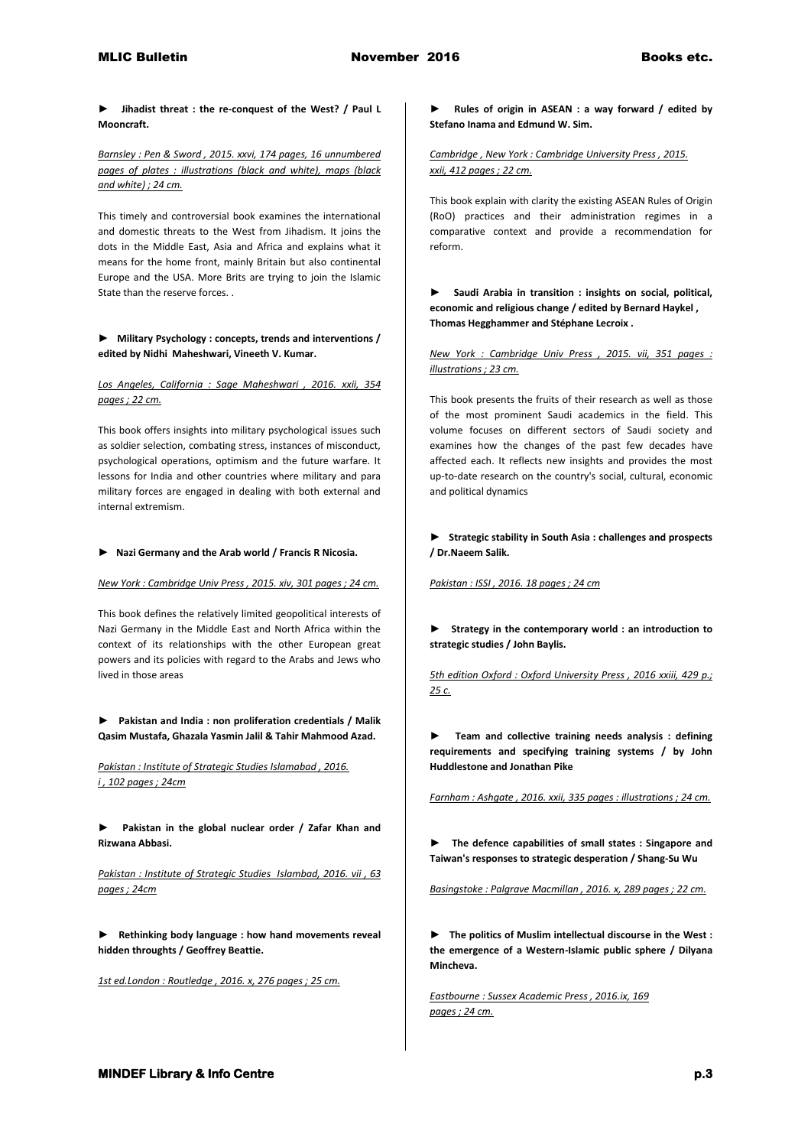**► Jihadist threat : the re-conquest of the West? / Paul L Mooncraft.**

*Barnsley : Pen & Sword , 2015. xxvi, 174 pages, 16 unnumbered pages of plates : illustrations (black and white), maps (black and white) ; 24 cm.*

This timely and controversial book examines the international and domestic threats to the West from Jihadism. It joins the dots in the Middle East, Asia and Africa and explains what it means for the home front, mainly Britain but also continental Europe and the USA. More Brits are trying to join the Islamic State than the reserve forces. .

**► Military Psychology : concepts, trends and interventions / edited by Nidhi Maheshwari, Vineeth V. Kumar.**

*Los Angeles, California : Sage Maheshwari , 2016. xxii, 354 pages ; 22 cm.*

This book offers insights into military psychological issues such as soldier selection, combating stress, instances of misconduct, psychological operations, optimism and the future warfare. It lessons for India and other countries where military and para military forces are engaged in dealing with both external and internal extremism.

## **► Nazi Germany and the Arab world / Francis R Nicosia.**

*New York : Cambridge Univ Press , 2015. xiv, 301 pages ; 24 cm.*

This book defines the relatively limited geopolitical interests of Nazi Germany in the Middle East and North Africa within the context of its relationships with the other European great powers and its policies with regard to the Arabs and Jews who lived in those areas

**► Pakistan and India : non proliferation credentials / Malik Qasim Mustafa, Ghazala Yasmin Jalil & Tahir Mahmood Azad.**

*Pakistan : Institute of Strategic Studies Islamabad , 2016. i , 102 pages ; 24cm* 

**► Pakistan in the global nuclear order / Zafar Khan and Rizwana Abbasi.**

*Pakistan : Institute of Strategic Studies Islambad, 2016. vii , 63 pages ; 24cm* 

**► Rethinking body language : how hand movements reveal hidden throughts / Geoffrey Beattie.**

*1st ed.London : Routledge , 2016. x, 276 pages ; 25 cm.* 

**► Rules of origin in ASEAN : a way forward / edited by Stefano Inama and Edmund W. Sim.**

*Cambridge , New York : Cambridge University Press , 2015. xxii, 412 pages ; 22 cm.*

This book explain with clarity the existing ASEAN Rules of Origin (RoO) practices and their administration regimes in a comparative context and provide a recommendation for reform.

**► Saudi Arabia in transition : insights on social, political, economic and religious change / edited by Bernard Haykel , Thomas Hegghammer and Stéphane Lecroix .**

*New York : Cambridge Univ Press , 2015. vii, 351 pages : illustrations ; 23 cm.*

This book presents the fruits of their research as well as those of the most prominent Saudi academics in the field. This volume focuses on different sectors of Saudi society and examines how the changes of the past few decades have affected each. It reflects new insights and provides the most up-to-date research on the country's social, cultural, economic and political dynamics

**► Strategic stability in South Asia : challenges and prospects / Dr.Naeem Salik.**

*Pakistan : ISSI , 2016. 18 pages ; 24 cm* 

**► Strategy in the contemporary world : an introduction to strategic studies / John Baylis.**

*5th edition Oxford : Oxford University Press , 2016 xxiii, 429 p.; 25 c.* 

**► Team and collective training needs analysis : defining requirements and specifying training systems / by John Huddlestone and Jonathan Pike** 

*Farnham : Ashgate , 2016. xxii, 335 pages : illustrations ; 24 cm.* 

**► The defence capabilities of small states : Singapore and Taiwan's responses to strategic desperation / Shang-Su Wu**

*Basingstoke : Palgrave Macmillan , 2016. x, 289 pages ; 22 cm.* 

**► The politics of Muslim intellectual discourse in the West : the emergence of a Western-Islamic public sphere / Dilyana Mincheva.**

*Eastbourne : Sussex Academic Press , 2016.ix, 169 pages ; 24 cm.*